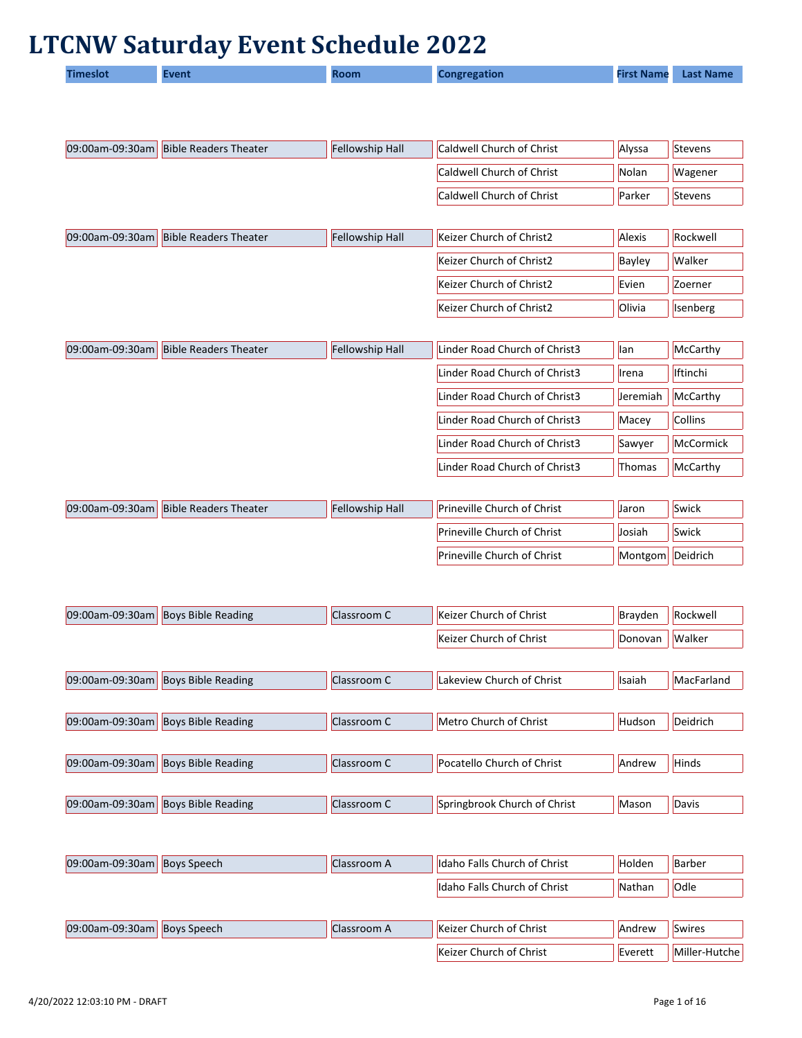## **LTCNW Saturday Event Schedule 2022**

|  | <b>imeslot</b> | :vent | Room | <b>Congregation</b> | <b>First Name</b> | <b>Last Name</b> |
|--|----------------|-------|------|---------------------|-------------------|------------------|
|--|----------------|-------|------|---------------------|-------------------|------------------|

| 09:00am-09:30am | <b>Bible Readers Theater</b> | Fellowship Hall | Caldwell Church of Christ     | Alyssa   | Stevens        |
|-----------------|------------------------------|-----------------|-------------------------------|----------|----------------|
|                 |                              |                 | Caldwell Church of Christ     | Nolan    | Wagener        |
|                 |                              |                 | Caldwell Church of Christ     | Parker   | <b>Stevens</b> |
|                 |                              |                 |                               |          |                |
| 09:00am-09:30am | <b>Bible Readers Theater</b> | Fellowship Hall | Keizer Church of Christ2      | Alexis   | Rockwell       |
|                 |                              |                 | Keizer Church of Christ2      | Bayley   | Walker         |
|                 |                              |                 | Keizer Church of Christ2      | Evien    | Zoerner        |
|                 |                              |                 | Keizer Church of Christ2      | Olivia   | Isenberg       |
|                 |                              |                 |                               |          |                |
| 09:00am-09:30am | <b>Bible Readers Theater</b> | Fellowship Hall | Linder Road Church of Christ3 | lan      | McCarthy       |
|                 |                              |                 | Linder Road Church of Christ3 | Irena    | Iftinchi       |
|                 |                              |                 | Linder Road Church of Christ3 | Jeremiah | McCarthy       |
|                 |                              |                 | Linder Road Church of Christ3 | Macey    | Collins        |
|                 |                              |                 | Linder Road Church of Christ3 | Sawyer   | McCormick      |
|                 |                              |                 | Linder Road Church of Christ3 | Thomas   | McCarthy       |
|                 |                              |                 |                               |          |                |
| 09:00am-09:30am | <b>Bible Readers Theater</b> | Fellowship Hall | Prineville Church of Christ   | Jaron    | Swick          |
|                 |                              |                 | Prineville Church of Christ   | Josiah   | Swick          |
|                 |                              |                 | Prineville Church of Christ   | Montgom  | Deidrich       |
|                 |                              |                 |                               |          |                |
| 09:00am-09:30am | <b>Boys Bible Reading</b>    | Classroom C     | Keizer Church of Christ       | Brayden  | Rockwell       |
|                 |                              |                 | Keizer Church of Christ       | Donovan  | Walker         |
|                 |                              |                 |                               |          |                |
| 09:00am-09:30am | <b>Boys Bible Reading</b>    | Classroom C     | Lakeview Church of Christ     | Isaiah   | MacFarland     |
|                 |                              |                 |                               |          |                |
| 09:00am-09:30am | <b>Boys Bible Reading</b>    | Classroom C     | Metro Church of Christ        | Hudson   | Deidrich       |
|                 |                              |                 |                               |          |                |
| 09:00am-09:30am | <b>Boys Bible Reading</b>    | Classroom C     | Pocatello Church of Christ    | Andrew   | Hinds          |
|                 |                              |                 |                               |          |                |
| 09:00am-09:30am | <b>Boys Bible Reading</b>    | Classroom C     | Springbrook Church of Christ  | Mason    | Davis          |
|                 |                              |                 |                               |          |                |
| 09:00am-09:30am | <b>Boys Speech</b>           | Classroom A     | Idaho Falls Church of Christ  | Holden   | <b>Barber</b>  |
|                 |                              |                 | Idaho Falls Church of Christ  | Nathan   | Odle           |
|                 |                              |                 |                               |          |                |
| 09:00am-09:30am | <b>Boys Speech</b>           | Classroom A     | Keizer Church of Christ       | Andrew   | <b>Swires</b>  |

Keizer Church of Christ  $\left|\begin{array}{c|c}\n\text{Keizer Church} & \text{Miller-Hutche}\n\end{array}\right|$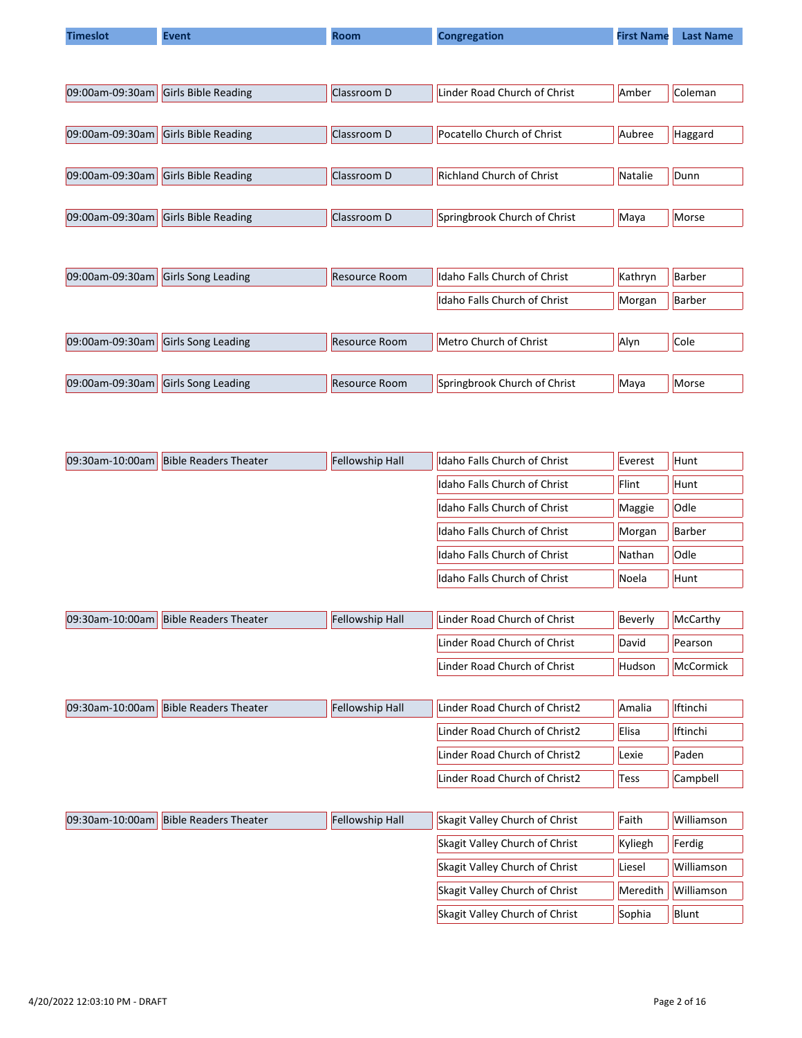| <b>Timeslot</b> | <b>Event</b>               | <b>Room</b>          | <b>Congregation</b>              | <b>First Name</b> | <b>Last Name</b> |
|-----------------|----------------------------|----------------------|----------------------------------|-------------------|------------------|
|                 |                            |                      |                                  |                   |                  |
|                 |                            |                      |                                  |                   |                  |
| 09:00am-09:30am | <b>Girls Bible Reading</b> | Classroom D          | Linder Road Church of Christ     | Amber             | Coleman          |
|                 |                            |                      |                                  |                   |                  |
| 09:00am-09:30am | <b>Girls Bible Reading</b> | Classroom D          | Pocatello Church of Christ       | Aubree            | Haggard          |
|                 |                            |                      |                                  |                   |                  |
| 09:00am-09:30am | Girls Bible Reading        | Classroom D          | <b>Richland Church of Christ</b> | Natalie           | Dunn             |
|                 |                            |                      |                                  |                   |                  |
| 09:00am-09:30am | <b>Girls Bible Reading</b> | Classroom D          | Springbrook Church of Christ     | Maya              | Morse            |
|                 |                            |                      |                                  |                   |                  |
|                 |                            |                      |                                  |                   |                  |
| 09:00am-09:30am | Girls Song Leading         | <b>Resource Room</b> | Idaho Falls Church of Christ     | Kathryn           | Barber           |
|                 |                            |                      | Idaho Falls Church of Christ     | Morgan            | Barber           |
|                 |                            |                      |                                  |                   |                  |
| 09:00am-09:30am | Girls Song Leading         | <b>Resource Room</b> | Metro Church of Christ           | Alyn              | Cole             |
|                 |                            |                      |                                  |                   |                  |
| 09:00am-09:30am | <b>Girls Song Leading</b>  | <b>Resource Room</b> | Springbrook Church of Christ     | Maya              | Morse            |

| 09:30am-10:00am | <b>Bible Readers Theater</b> | Fellowship Hall | Idaho Falls Church of Christ | Everest | Hunt        |
|-----------------|------------------------------|-----------------|------------------------------|---------|-------------|
|                 |                              |                 | Idaho Falls Church of Christ | Flint   | <b>Hunt</b> |
|                 |                              |                 | Idaho Falls Church of Christ | Maggie  | <b>Odle</b> |
|                 |                              |                 | Idaho Falls Church of Christ | Morgan  | Barber      |
|                 |                              |                 | Idaho Falls Church of Christ | Nathan  | <b>Odle</b> |
|                 |                              |                 | Idaho Falls Church of Christ | Noela   | Hunt        |
|                 |                              |                 |                              |         |             |

| 09:30am-10:00am | <b>Bible Readers Theater</b> | <b>Fellowship Hall</b> | Linder Road Church of Christ | Beverly | <b>McCarthy</b> |
|-----------------|------------------------------|------------------------|------------------------------|---------|-----------------|
|                 |                              |                        | Linder Road Church of Christ | David   | Pearson         |
|                 |                              |                        | Linder Road Church of Christ | Hudson  | McCormick       |

| 09:30am-10:00am | <b>Bible Readers Theater</b> | <b>Fellowship Hall</b> | Linder Road Church of Christ2  | Amalia   | <b>Iftinchi</b> |
|-----------------|------------------------------|------------------------|--------------------------------|----------|-----------------|
|                 |                              |                        | Linder Road Church of Christ2  | Elisa    | <b>Iftinchi</b> |
|                 |                              |                        | Linder Road Church of Christ2  | Lexie    | Paden           |
|                 |                              |                        | Linder Road Church of Christ2  | Tess     | Campbell        |
|                 |                              |                        |                                |          |                 |
| 09:30am-10:00am | <b>Bible Readers Theater</b> | <b>Fellowship Hall</b> | Skagit Valley Church of Christ | Faith    | Williamson      |
|                 |                              |                        | Skagit Valley Church of Christ | Kyliegh  | Ferdig          |
|                 |                              |                        | Skagit Valley Church of Christ | Liesel   | Williamson      |
|                 |                              |                        | Skagit Valley Church of Christ | Meredith | Williamson      |
|                 |                              |                        | Skagit Valley Church of Christ | Sophia   | Blunt           |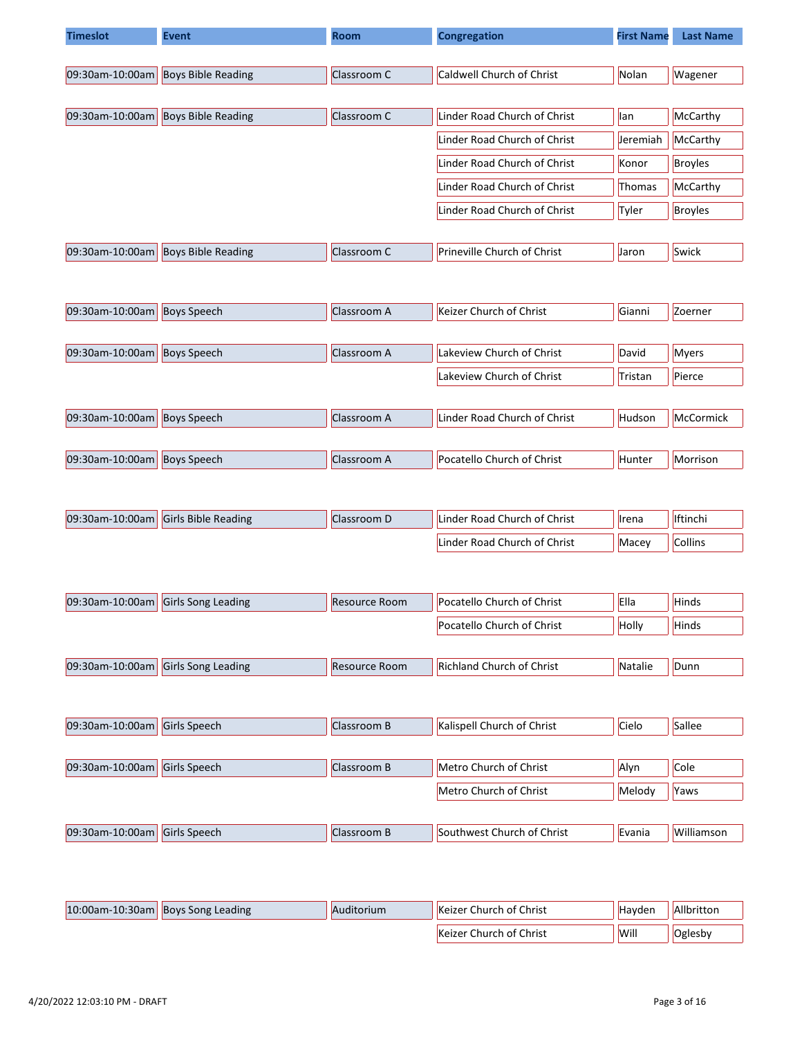| <b>Timeslot</b> | <b>Event</b>              | <b>Room</b> | <b>Congregation</b>          | <b>First Name</b> | <b>Last Name</b> |
|-----------------|---------------------------|-------------|------------------------------|-------------------|------------------|
|                 |                           |             |                              |                   |                  |
| 09:30am-10:00am | <b>Boys Bible Reading</b> | Classroom C | Caldwell Church of Christ    | Nolan             | Wagener          |
|                 |                           |             |                              |                   |                  |
| 09:30am-10:00am | <b>Boys Bible Reading</b> | Classroom C | Linder Road Church of Christ | llan              | McCarthy         |
|                 |                           |             | Linder Road Church of Christ | Jeremiah          | McCarthy         |
|                 |                           |             | Linder Road Church of Christ | Konor             | <b>Broyles</b>   |
|                 |                           |             | Linder Road Church of Christ | <b>Thomas</b>     | McCarthy         |
|                 |                           |             | Linder Road Church of Christ | Tyler             | <b>Broyles</b>   |
|                 |                           |             |                              |                   |                  |
| 09:30am-10:00am | <b>Boys Bible Reading</b> | Classroom C | Prineville Church of Christ  | <b>Jaron</b>      | Swick            |

| $ 09:30$ am-10:00am | <b>Boys Speech</b> | Classroom A | Keizer Church of Christ      | Gianni        | Zoerner      |
|---------------------|--------------------|-------------|------------------------------|---------------|--------------|
|                     |                    |             |                              |               |              |
| $ 09:30$ am-10:00am | <b>Boys Speech</b> | Classroom A | Lakeview Church of Christ    | David         | <b>Myers</b> |
|                     |                    |             | Lakeview Church of Christ    | Tristan       | Pierce       |
|                     |                    |             |                              |               |              |
| 09:30am-10:00am     | <b>Boys Speech</b> | Classroom A | Linder Road Church of Christ | <b>Hudson</b> | McCormick    |
|                     |                    |             |                              |               |              |
| 09:30am-10:00am     | <b>Boys Speech</b> | Classroom A | Pocatello Church of Christ   | Hunter        | Morrison     |

| $ 09:30$ am-10:00am | <b>Girls Bible Reading</b> | IClassroom D | Linder Road Church of Christ | <b>Ilrena</b> | <b>I</b> tinchi |
|---------------------|----------------------------|--------------|------------------------------|---------------|-----------------|
|                     |                            |              | Linder Road Church of Christ | Macev         | <b>Collins</b>  |

| 09:30am-10:00am Girls Song Leading | Resource Room | <b>Pocatello Church of Christ</b> | <b>Ella</b> | <b>Hinds</b> |
|------------------------------------|---------------|-----------------------------------|-------------|--------------|
|                                    |               | <b>Pocatello Church of Christ</b> | Holly       | <b>Hinds</b> |
|                                    |               |                                   |             |              |
| 09:30am-10:00am Girls Song Leading | Resource Room | Richland Church of Christ         | Natalie     | Dunn         |

| $ 09:30$ am-10:00am Girls Speech | Classroom B | Kalispell Church of Christ | Cielo  | Sallee      |
|----------------------------------|-------------|----------------------------|--------|-------------|
|                                  |             |                            |        |             |
| $ 09:30$ am-10:00am Girls Speech | Classroom B | Metro Church of Christ     | Alyn   | <b>Cole</b> |
|                                  |             | Metro Church of Christ     | Melody | Yaws        |
|                                  |             |                            |        |             |
| $ 09:30$ am-10:00am Girls Speech | Classroom B | Southwest Church of Christ | Evania | Williamson  |

| $ 10:00$ am-10:30am   Boys Song Leading | Auditorium | <b>Keizer Church of Christ</b> | Havden | Allbritton |
|-----------------------------------------|------------|--------------------------------|--------|------------|
|                                         |            | Keizer Church of Christ        | Will   | Oglesby    |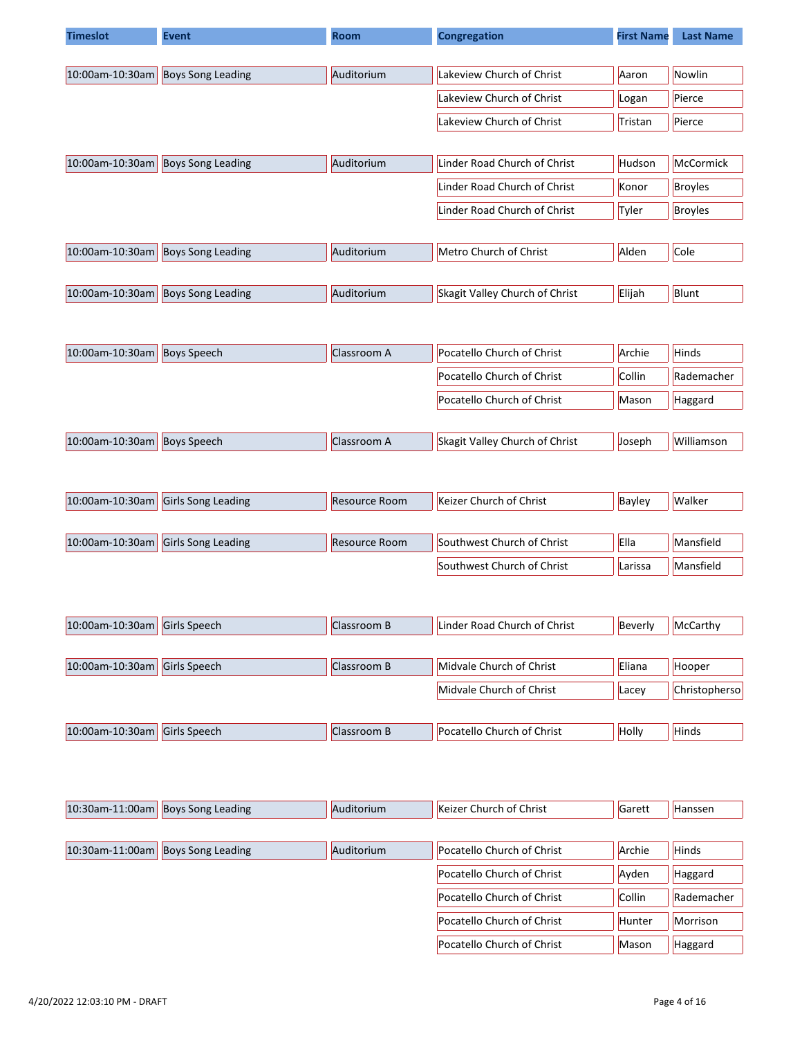| <b>Timeslot</b> | <b>Event</b>             | Room                 | <b>Congregation</b>            | <b>First Name</b> | <b>Last Name</b> |
|-----------------|--------------------------|----------------------|--------------------------------|-------------------|------------------|
|                 |                          |                      |                                |                   |                  |
| 10:00am-10:30am | <b>Boys Song Leading</b> | Auditorium           | Lakeview Church of Christ      | Aaron             | Nowlin           |
|                 |                          |                      | Lakeview Church of Christ      | Logan             | Pierce           |
|                 |                          |                      | Lakeview Church of Christ      | Tristan           | Pierce           |
|                 |                          |                      |                                |                   |                  |
| 10:00am-10:30am | <b>Boys Song Leading</b> | Auditorium           | Linder Road Church of Christ   | Hudson            | McCormick        |
|                 |                          |                      | Linder Road Church of Christ   | Konor             | <b>Broyles</b>   |
|                 |                          |                      | Linder Road Church of Christ   | Tyler             | <b>Broyles</b>   |
|                 |                          |                      |                                |                   |                  |
| 10:00am-10:30am | <b>Boys Song Leading</b> | Auditorium           | Metro Church of Christ         | Alden             | Cole             |
| 10:00am-10:30am | <b>Boys Song Leading</b> | Auditorium           | Skagit Valley Church of Christ | Elijah            | Blunt            |
|                 |                          |                      |                                |                   |                  |
|                 |                          |                      |                                |                   |                  |
| 10:00am-10:30am | <b>Boys Speech</b>       | Classroom A          | Pocatello Church of Christ     | Archie            | Hinds            |
|                 |                          |                      | Pocatello Church of Christ     | Collin            | Rademacher       |
|                 |                          |                      | Pocatello Church of Christ     | Mason             | Haggard          |
|                 |                          |                      |                                |                   |                  |
| 10:00am-10:30am | <b>Boys Speech</b>       | Classroom A          | Skagit Valley Church of Christ | Joseph            | Williamson       |
|                 |                          |                      |                                |                   |                  |
|                 |                          |                      |                                |                   |                  |
| 10:00am-10:30am | Girls Song Leading       | <b>Resource Room</b> | Keizer Church of Christ        | Bayley            | Walker           |
| 10:00am-10:30am | Girls Song Leading       | <b>Resource Room</b> | Southwest Church of Christ     | Ella              | Mansfield        |
|                 |                          |                      | Southwest Church of Christ     | Larissa           | Mansfield        |
|                 |                          |                      |                                |                   |                  |
|                 |                          |                      |                                |                   |                  |
| 10:00am-10:30am | Girls Speech             | Classroom B          | Linder Road Church of Christ   | Beverly           | McCarthy         |
|                 |                          |                      |                                |                   |                  |
| 10:00am-10:30am | <b>Girls Speech</b>      | Classroom B          | Midvale Church of Christ       | Eliana            | Hooper           |
|                 |                          |                      | Midvale Church of Christ       | Lacey             | Christopherso    |
|                 |                          |                      |                                |                   |                  |
| 10:00am-10:30am | Girls Speech             | Classroom B          | Pocatello Church of Christ     | Holly             | Hinds            |
|                 |                          |                      |                                |                   |                  |
|                 |                          |                      |                                |                   |                  |
| 10:30am-11:00am | <b>Boys Song Leading</b> | Auditorium           | Keizer Church of Christ        | Garett            | Hanssen          |
|                 |                          |                      |                                |                   |                  |
| 10:30am-11:00am | <b>Boys Song Leading</b> | Auditorium           | Pocatello Church of Christ     | Archie            | Hinds            |
|                 |                          |                      | Pocatello Church of Christ     | Ayden             | Haggard          |

Pocatello Church of Christ  $\vert$  Collin  $\vert$  Rademacher Pocatello Church of Christ  $||$ Hunter  $||$ Morrison Pocatello Church of Christ  $\left|\right|$  Mason  $\left|\right|$  Haggard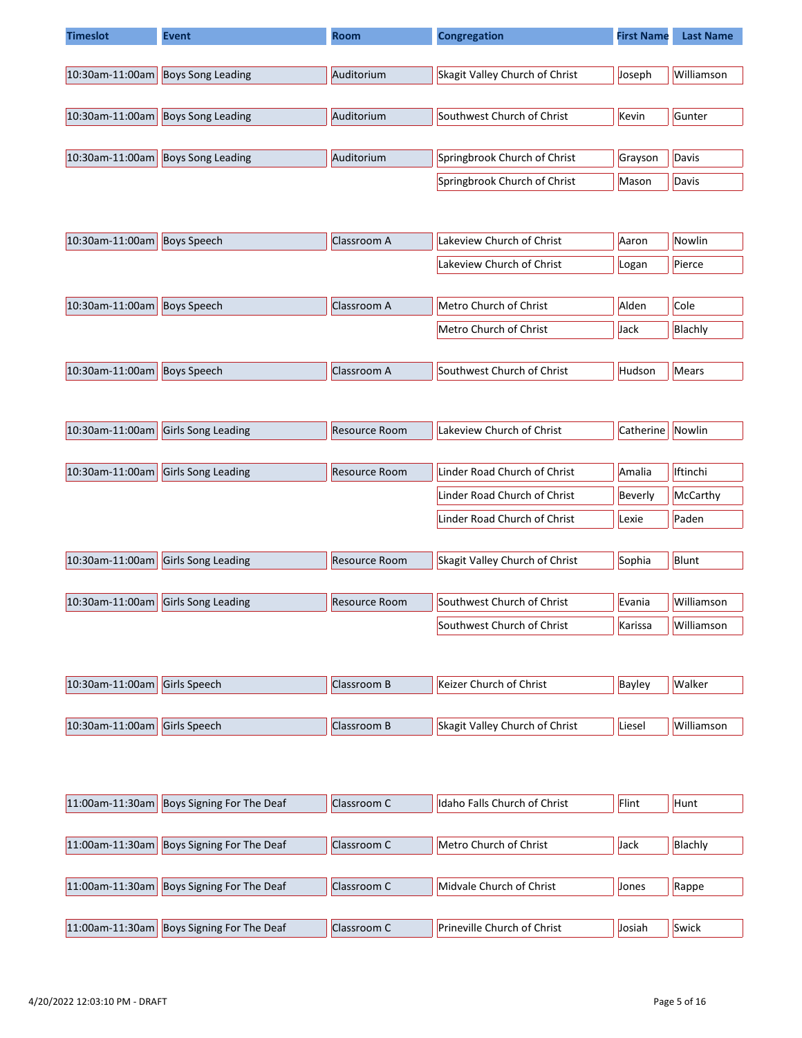| <b>Timeslot</b> | <b>Event</b>             | <b>Room</b> | Congregation                   | <b>First Name</b> | <b>Last Name</b> |
|-----------------|--------------------------|-------------|--------------------------------|-------------------|------------------|
|                 |                          |             |                                |                   |                  |
| 10:30am-11:00am | <b>Boys Song Leading</b> | Auditorium  | Skagit Valley Church of Christ | Joseph            | Williamson       |
|                 |                          |             |                                |                   |                  |
| 10:30am-11:00am | <b>Boys Song Leading</b> | Auditorium  | Southwest Church of Christ     | Kevin             | Gunter           |
|                 |                          |             |                                |                   |                  |
| 10:30am-11:00am | <b>Boys Song Leading</b> | Auditorium  | Springbrook Church of Christ   | Grayson           | Davis            |
|                 |                          |             | Springbrook Church of Christ   | Mason             | Davis            |

| $ 10:30$ am-11:00am            | <b>Boys Speech</b> | Classroom A | Lakeview Church of Christ  | Aaron         | Nowlin  |
|--------------------------------|--------------------|-------------|----------------------------|---------------|---------|
|                                |                    |             | Lakeview Church of Christ  | Logan         | Pierce  |
|                                |                    |             |                            |               |         |
| $10:30$ am-11:00am Boys Speech |                    | Classroom A | Metro Church of Christ     | Alden         | Cole    |
|                                |                    |             | Metro Church of Christ     | Jack          | Blachly |
|                                |                    |             |                            |               |         |
| $ 10:30$ am-11:00am            | <b>Boys Speech</b> | Classroom A | Southwest Church of Christ | <b>Hudson</b> | Mears   |

| 10:30am-11:00am                    | <b>Girls Song Leading</b> | Resource Room | Lakeview Church of Christ    | <b>Catherine</b> | Nowlin          |
|------------------------------------|---------------------------|---------------|------------------------------|------------------|-----------------|
|                                    |                           |               |                              |                  |                 |
| 10:30am-11:00am Girls Song Leading |                           | Resource Room | Linder Road Church of Christ | Amalia           | <b>Iftinchi</b> |
|                                    |                           |               | Linder Road Church of Christ | Beverly          | McCarthy        |
|                                    |                           |               | Linder Road Church of Christ | Lexie            | Paden           |

| 10:30am-11:00am Girls Song Leading | <b>Resource Room</b> | Skagit Valley Church of Christ | Sophia  | Blunt      |
|------------------------------------|----------------------|--------------------------------|---------|------------|
|                                    |                      |                                |         |            |
| 10:30am-11:00am Girls Song Leading | Resource Room        | Southwest Church of Christ     | Evania  | Williamson |
|                                    |                      | Southwest Church of Christ     | Karissa | Williamson |

| $ 10:30$ am-11:00am Girls Speech | Classroom B | ' Keizer Church of Christ      | Bayley | Walker     |
|----------------------------------|-------------|--------------------------------|--------|------------|
|                                  |             |                                |        |            |
| $ 10:30$ am-11:00am Girls Speech | Classroom B | Skagit Valley Church of Christ | Liesel | Williamson |

| 11:00am-11:30am    | Boys Signing For The Deaf | Classroom C | Idaho Falls Church of Christ       | Flint        | Hunt    |
|--------------------|---------------------------|-------------|------------------------------------|--------------|---------|
|                    |                           |             |                                    |              |         |
| $11:00$ am-11:30am | Boys Signing For The Deaf | Classroom C | Metro Church of Christ             | Jack         | Blachly |
|                    |                           |             |                                    |              |         |
| $11:00$ am-11:30am | Boys Signing For The Deaf | Classroom C | Midvale Church of Christ           | <b>Jones</b> | Rappe   |
|                    |                           |             |                                    |              |         |
| $11:00$ am-11:30am | Boys Signing For The Deaf | Classroom C | <b>Prineville Church of Christ</b> | Josiah       | Swick   |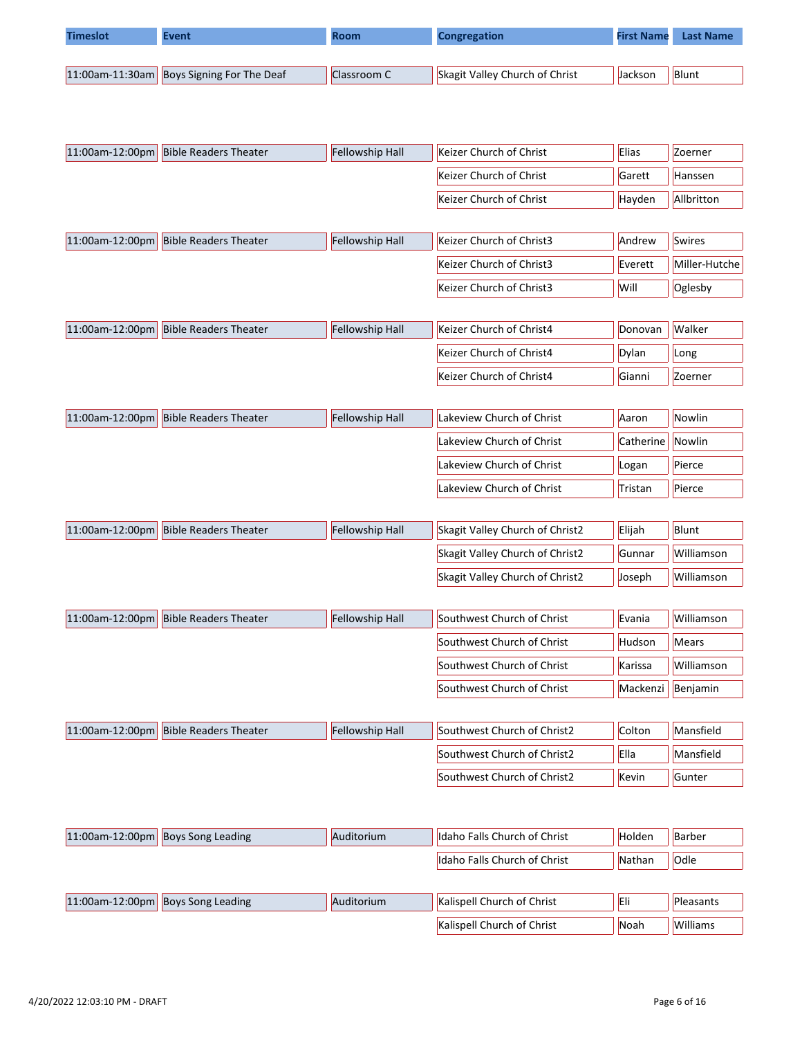| <b>Timeslot</b> | <b>Event</b>                              | <b>Room</b> | <b>Congregation</b>            | <b>First Name</b> | <b>Last Name</b> |
|-----------------|-------------------------------------------|-------------|--------------------------------|-------------------|------------------|
|                 |                                           |             |                                |                   |                  |
|                 | 11:00am-11:30am Boys Signing For The Deaf | Classroom C | Skagit Valley Church of Christ | Jackson           | Blunt            |

| 11:00am-12:00pm | <b>Bible Readers Theater</b>          | Fellowship Hall | Keizer Church of Christ         | Elias     | Zoerner       |
|-----------------|---------------------------------------|-----------------|---------------------------------|-----------|---------------|
|                 |                                       |                 | Keizer Church of Christ         | Garett    | Hanssen       |
|                 |                                       |                 | Keizer Church of Christ         | Hayden    | Allbritton    |
|                 |                                       |                 |                                 |           |               |
| 11:00am-12:00pm | <b>Bible Readers Theater</b>          | Fellowship Hall | Keizer Church of Christ3        | Andrew    | Swires        |
|                 |                                       |                 | Keizer Church of Christ3        | Everett   | Miller-Hutche |
|                 |                                       |                 | Keizer Church of Christ3        | Will      | Oglesby       |
|                 |                                       |                 |                                 |           |               |
| 11:00am-12:00pm | <b>Bible Readers Theater</b>          | Fellowship Hall | Keizer Church of Christ4        | Donovan   | Walker        |
|                 |                                       |                 | Keizer Church of Christ4        | Dylan     | Long          |
|                 |                                       |                 | Keizer Church of Christ4        | Gianni    | Zoerner       |
|                 |                                       |                 |                                 |           |               |
| 11:00am-12:00pm | <b>Bible Readers Theater</b>          | Fellowship Hall | Lakeview Church of Christ       | Aaron     | Nowlin        |
|                 |                                       |                 | Lakeview Church of Christ       | Catherine | Nowlin        |
|                 |                                       |                 | Lakeview Church of Christ       | Logan     | Pierce        |
|                 |                                       |                 | Lakeview Church of Christ       | Tristan   | Pierce        |
|                 |                                       |                 |                                 |           |               |
| 11:00am-12:00pm | <b>Bible Readers Theater</b>          | Fellowship Hall | Skagit Valley Church of Christ2 | Elijah    | Blunt         |
|                 |                                       |                 | Skagit Valley Church of Christ2 | Gunnar    | Williamson    |
|                 |                                       |                 | Skagit Valley Church of Christ2 | Joseph    | Williamson    |
|                 |                                       |                 |                                 |           |               |
|                 | 11:00am-12:00pm Bible Readers Theater | Fellowship Hall | Southwest Church of Christ      | Evania    | Williamson    |
|                 |                                       |                 | Southwest Church of Christ      | Hudson    | Mears         |
|                 |                                       |                 | Southwest Church of Christ      | Karissa   | Williamson    |
|                 |                                       |                 | Southwest Church of Christ      | Mackenzi  | Benjamin      |
|                 |                                       |                 |                                 |           |               |
|                 | 11:00am-12:00pm Bible Readers Theater | Fellowship Hall | Southwest Church of Christ2     | Colton    | Mansfield     |
|                 |                                       |                 | Southwest Church of Christ2     | Ella      | Mansfield     |
|                 |                                       |                 | Southwest Church of Christ2     | Kevin     | Gunter        |
|                 |                                       |                 |                                 |           |               |
|                 |                                       |                 |                                 |           |               |
| 11:00am-12:00pm | <b>Boys Song Leading</b>              | Auditorium      | Idaho Falls Church of Christ    | Holden    | Barber        |

| 11:00am-12:00pm  Boys Song Leading | Auditorium | Kalispell Church of Christ        | <b>IEli</b> | Pleasants |
|------------------------------------|------------|-----------------------------------|-------------|-----------|
|                                    |            | <b>Kalispell Church of Christ</b> | Noah        | Williams  |

Idaho Falls Church of Christ Nathan Odle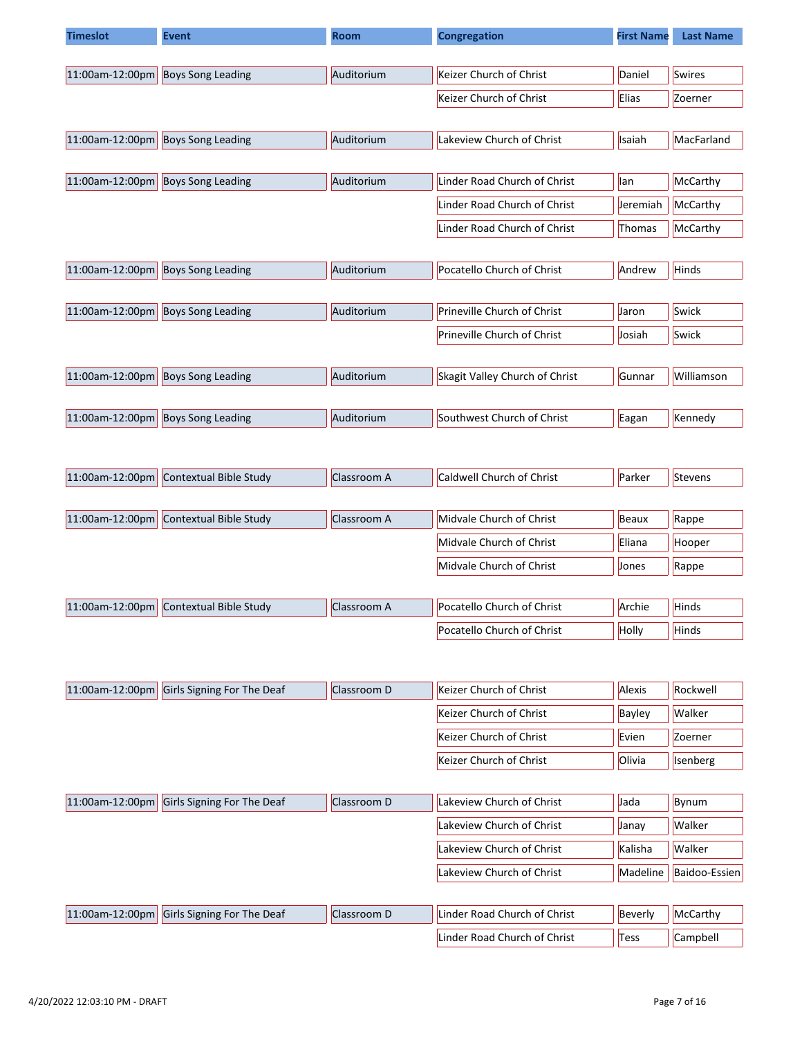| <b>Timeslot</b> | <b>Event</b>                           | Room        | <b>Congregation</b>            | <b>First Name</b> | <b>Last Name</b> |
|-----------------|----------------------------------------|-------------|--------------------------------|-------------------|------------------|
|                 |                                        |             |                                |                   |                  |
| 11:00am-12:00pm | <b>Boys Song Leading</b>               | Auditorium  | Keizer Church of Christ        | Daniel            | <b>Swires</b>    |
|                 |                                        |             | Keizer Church of Christ        | Elias             | Zoerner          |
|                 |                                        |             |                                |                   |                  |
| 11:00am-12:00pm | <b>Boys Song Leading</b>               | Auditorium  | Lakeview Church of Christ      | Isaiah            | MacFarland       |
| 11:00am-12:00pm | <b>Boys Song Leading</b>               | Auditorium  | Linder Road Church of Christ   | lan               | McCarthy         |
|                 |                                        |             | Linder Road Church of Christ   | Jeremiah          | McCarthy         |
|                 |                                        |             | Linder Road Church of Christ   | Thomas            | McCarthy         |
|                 |                                        |             |                                |                   |                  |
| 11:00am-12:00pm | <b>Boys Song Leading</b>               | Auditorium  | Pocatello Church of Christ     | Andrew            | Hinds            |
| 11:00am-12:00pm | <b>Boys Song Leading</b>               | Auditorium  | Prineville Church of Christ    | Jaron             | Swick            |
|                 |                                        |             |                                |                   |                  |
|                 |                                        |             | Prineville Church of Christ    | Josiah            | Swick            |
| 11:00am-12:00pm | <b>Boys Song Leading</b>               | Auditorium  | Skagit Valley Church of Christ | Gunnar            | Williamson       |
|                 |                                        |             |                                |                   |                  |
| 11:00am-12:00pm | <b>Boys Song Leading</b>               | Auditorium  | Southwest Church of Christ     | Eagan             | Kennedy          |
|                 |                                        |             |                                |                   |                  |
| 11:00am-12:00pm | Contextual Bible Study                 | Classroom A | Caldwell Church of Christ      | Parker            | Stevens          |
|                 |                                        |             |                                |                   |                  |
| 11:00am-12:00pm | Contextual Bible Study                 | Classroom A | Midvale Church of Christ       | Beaux             | Rappe            |
|                 |                                        |             | Midvale Church of Christ       | Eliana            | Hooper           |
|                 |                                        |             | Midvale Church of Christ       | Jones             | Rappe            |
|                 |                                        |             |                                |                   |                  |
|                 | 11:00am-12:00pm Contextual Bible Study | Classroom A | Pocatello Church of Christ     | Archie            | Hinds            |
|                 |                                        |             | Pocatello Church of Christ     | Holly             | Hinds            |
|                 |                                        |             |                                |                   |                  |
| 11:00am-12:00pm | Girls Signing For The Deaf             | Classroom D | Keizer Church of Christ        | Alexis            | Rockwell         |
|                 |                                        |             | Keizer Church of Christ        | Bayley            | Walker           |
|                 |                                        |             | Keizer Church of Christ        | Evien             | Zoerner          |
|                 |                                        |             | Keizer Church of Christ        | Olivia            | Isenberg         |
|                 |                                        |             |                                |                   |                  |
| 11:00am-12:00pm | Girls Signing For The Deaf             | Classroom D | Lakeview Church of Christ      | Jada              | Bynum            |
|                 |                                        |             | Lakeview Church of Christ      | Janay             | Walker           |
|                 |                                        |             | Lakeview Church of Christ      | Kalisha           | Walker           |
|                 |                                        |             | Lakeview Church of Christ      | Madeline          | Baidoo-Essien    |

| 11:00am-12:00pm Girls Signing For The Deaf | Classroom D | Linder Road Church of Christ | Beverly | McCarthy |
|--------------------------------------------|-------------|------------------------------|---------|----------|
|                                            |             | Linder Road Church of Christ | Tess    | Campbell |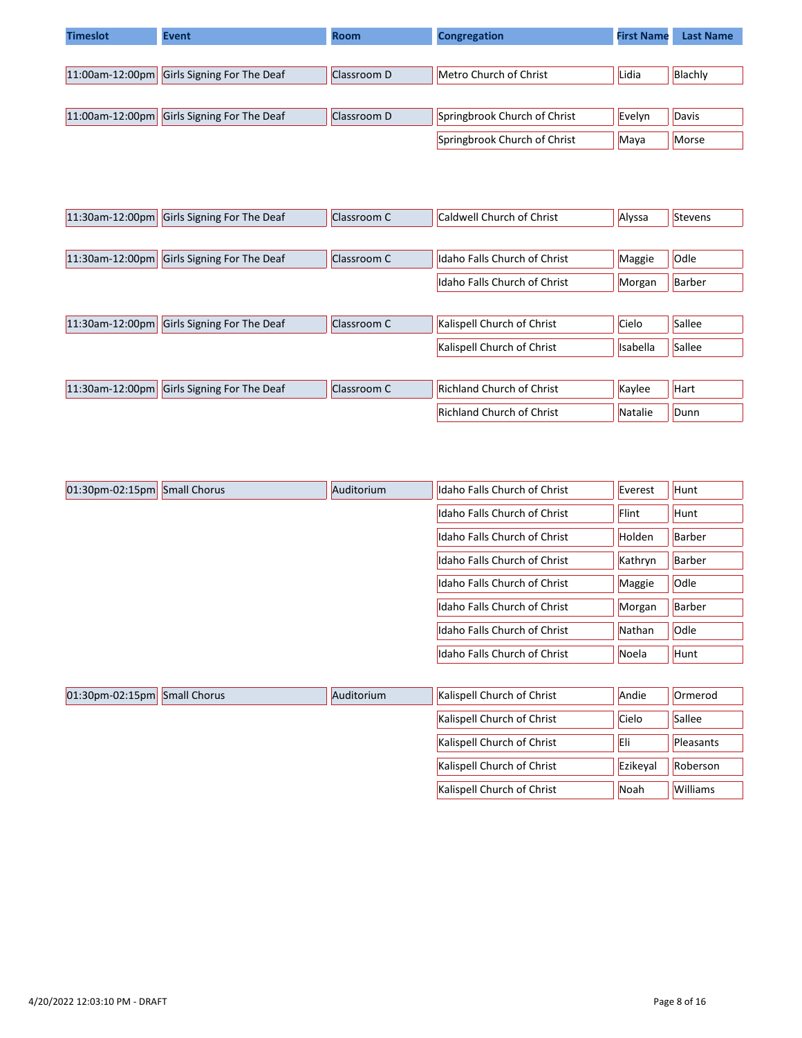| <b>Timeslot</b> | <b>Event</b>               | <b>Room</b> | Congregation                 | <b>First Name</b> | <b>Last Name</b> |
|-----------------|----------------------------|-------------|------------------------------|-------------------|------------------|
|                 |                            |             |                              |                   |                  |
| 11:00am-12:00pm | Girls Signing For The Deaf | Classroom D | Metro Church of Christ       | Lidia             | Blachly          |
|                 |                            |             |                              |                   |                  |
| 11:00am-12:00pm | Girls Signing For The Deaf | Classroom D | Springbrook Church of Christ | Evelyn            | Davis            |
|                 |                            |             | Springbrook Church of Christ | Maya              | Morse            |

| $11:30$ am-12:00pm | Girls Signing For The Deaf | Classroom C | Caldwell Church of Christ        | Alyssa          | Stevens |
|--------------------|----------------------------|-------------|----------------------------------|-----------------|---------|
|                    |                            |             |                                  |                 |         |
| $11:30$ am-12:00pm | Girls Signing For The Deaf | Classroom C | Idaho Falls Church of Christ     | Maggie          | Odle    |
|                    |                            |             | Idaho Falls Church of Christ     | Morgan          | Barber  |
|                    |                            |             |                                  |                 |         |
| $11:30$ am-12:00pm | Girls Signing For The Deaf | Classroom C | Kalispell Church of Christ       | Cielo           | Sallee  |
|                    |                            |             | Kalispell Church of Christ       | <b>Isabella</b> | Sallee  |
|                    |                            |             |                                  |                 |         |
| $11:30$ am-12:00pm | Girls Signing For The Deaf | Classroom C | <b>Richland Church of Christ</b> | Kaylee          | Hart    |
|                    |                            |             | <b>Richland Church of Christ</b> | Natalie         | Dunn    |

| 01:30pm-02:15pm Small Chorus |                     | Auditorium | Idaho Falls Church of Christ | Everest | Hunt          |
|------------------------------|---------------------|------------|------------------------------|---------|---------------|
|                              |                     |            | Idaho Falls Church of Christ | Flint   | Hunt          |
|                              |                     |            | Idaho Falls Church of Christ | Holden  | Barber        |
|                              |                     |            | Idaho Falls Church of Christ | Kathryn | <b>Barber</b> |
|                              |                     |            | Idaho Falls Church of Christ | Maggie  | Odle          |
|                              |                     |            | Idaho Falls Church of Christ | Morgan  | Barber        |
|                              |                     |            | Idaho Falls Church of Christ | Nathan  | Odle          |
|                              |                     |            | Idaho Falls Church of Christ | Noela   | Hunt          |
|                              |                     |            |                              |         |               |
| $01:30$ pm-02:15pm           | <b>Small Chorus</b> | Auditorium | Kalispell Church of Christ   | Andie   | Ormerod       |
|                              |                     |            | Kalispell Church of Christ   | Cielo   | Sallee        |

Kalispell Church of Christ **Eli** Pleasants Kalispell Church of Christ  $\left|\frac{1}{100}\right|$  Ezikeyal  $\left|\frac{1}{100}\right|$  Roberson Kalispell Church of Christ  $\vert$  Noah  $\vert$  Williams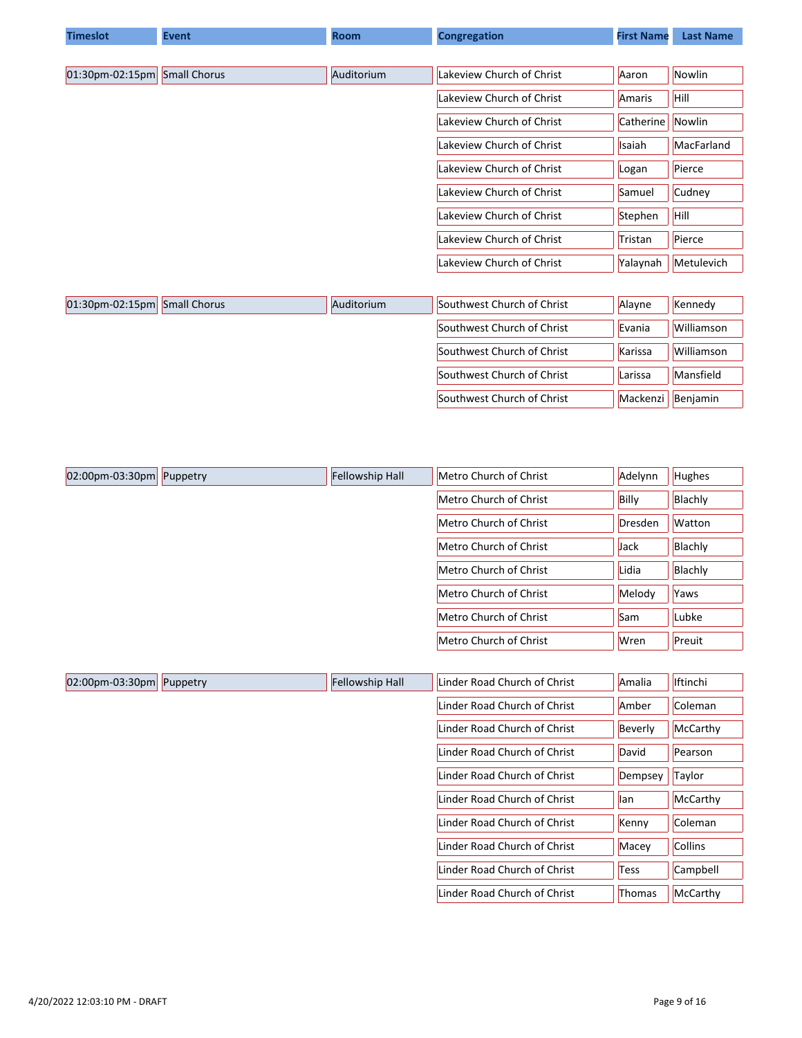| <b>Timeslot</b>    | <b>Event</b>        | <b>Room</b> | <b>Congregation</b>        | <b>First Name</b> | <b>Last Name</b> |
|--------------------|---------------------|-------------|----------------------------|-------------------|------------------|
|                    |                     |             |                            |                   |                  |
| $01:30$ pm-02:15pm | <b>Small Chorus</b> | Auditorium  | Lakeview Church of Christ  | Aaron             | Nowlin           |
|                    |                     |             | Lakeview Church of Christ  | Amaris            | Hill             |
|                    |                     |             | Lakeview Church of Christ  | Catherine         | Nowlin           |
|                    |                     |             | Lakeview Church of Christ  | Isaiah            | MacFarland       |
|                    |                     |             | Lakeview Church of Christ  | Logan             | Pierce           |
|                    |                     |             | Lakeview Church of Christ  | Samuel            | Cudney           |
|                    |                     |             | Lakeview Church of Christ  | Stephen           | Hill             |
|                    |                     |             | Lakeview Church of Christ  | Tristan           | Pierce           |
|                    |                     |             | Lakeview Church of Christ  | Yalaynah          | Metulevich       |
|                    |                     |             |                            |                   |                  |
| $01:30$ pm-02:15pm | <b>Small Chorus</b> | Auditorium  | Southwest Church of Christ | Alayne            | Kennedy          |
|                    |                     |             | Southwest Church of Christ | Evania            | Williamson       |
|                    |                     |             | Southwest Church of Christ | Karissa           | Williamson       |
|                    |                     |             | Southwest Church of Christ | Larissa           | Mansfield        |
|                    |                     |             | Southwest Church of Christ | Mackenzi          | Benjamin         |

| $ 02:00$ pm-03:30pm Puppetry | Fellowship Hall | Metro Church of Christ | Adelynn | <b>Hughes</b> |
|------------------------------|-----------------|------------------------|---------|---------------|
|                              |                 | Metro Church of Christ | Billy   | Blachly       |
|                              |                 | Metro Church of Christ | Dresden | <b>Watton</b> |
|                              |                 | Metro Church of Christ | Jack    | Blachly       |
|                              |                 | Metro Church of Christ | Lidia   | Blachly       |
|                              |                 | Metro Church of Christ | Melody  | Yaws          |
|                              |                 | Metro Church of Christ | Sam     | Lubke         |
|                              |                 | Metro Church of Christ | Wren    | Preuit        |

| $ 02:00$ pm-03:30pm | Puppetry | <b>Fellowship Hall</b> | Linder Road Church of Christ | Amalia  | <b>Iftinchi</b> |
|---------------------|----------|------------------------|------------------------------|---------|-----------------|
|                     |          |                        | Linder Road Church of Christ | Amber   | Coleman         |
|                     |          |                        | Linder Road Church of Christ | Beverly | McCarthy        |
|                     |          |                        | Linder Road Church of Christ | David   | Pearson         |
|                     |          |                        | Linder Road Church of Christ | Dempsey | Taylor          |
|                     |          |                        | Linder Road Church of Christ | lan     | McCarthy        |
|                     |          |                        | Linder Road Church of Christ | Kenny   | Coleman         |
|                     |          |                        | Linder Road Church of Christ | Macey   | <b>Collins</b>  |
|                     |          |                        | Linder Road Church of Christ | Tess    | Campbell        |
|                     |          |                        | Linder Road Church of Christ | Thomas  | McCarthy        |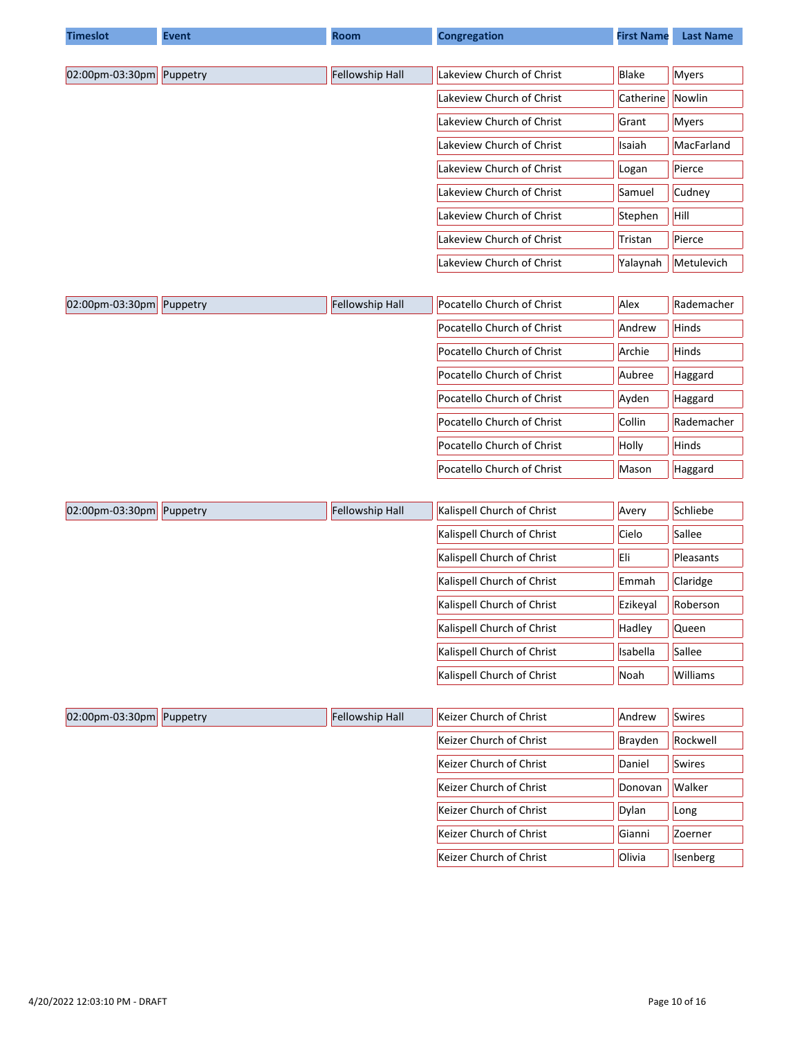| <b>Timeslot</b> | <b>Event</b> | <b>Room</b>     | <b>Congregation</b>        | <b>First Name</b> | <b>Last Name</b> |
|-----------------|--------------|-----------------|----------------------------|-------------------|------------------|
|                 |              |                 |                            |                   |                  |
| 02:00pm-03:30pm | Puppetry     | Fellowship Hall | Lakeview Church of Christ  | Blake             | Myers            |
|                 |              |                 | Lakeview Church of Christ  | Catherine         | Nowlin           |
|                 |              |                 | Lakeview Church of Christ  | Grant             | <b>Myers</b>     |
|                 |              |                 | Lakeview Church of Christ  | Isaiah            | MacFarland       |
|                 |              |                 | Lakeview Church of Christ  | Logan             | Pierce           |
|                 |              |                 | Lakeview Church of Christ  | Samuel            | Cudney           |
|                 |              |                 | Lakeview Church of Christ  | Stephen           | Hill             |
|                 |              |                 | Lakeview Church of Christ  | Tristan           | Pierce           |
|                 |              |                 | Lakeview Church of Christ  | Yalaynah          | Metulevich       |
| 02:00pm-03:30pm | Puppetry     | Fellowship Hall | Pocatello Church of Christ | Alex              | Rademacher       |
|                 |              |                 | Pocatello Church of Christ | Andrew            | Hinds            |
|                 |              |                 | Pocatello Church of Christ | Archie            | Hinds            |
|                 |              |                 | Pocatello Church of Christ | Aubree            | Haggard          |
|                 |              |                 | Pocatello Church of Christ | Ayden             | Haggard          |
|                 |              |                 | Pocatello Church of Christ | Collin            | Rademacher       |
|                 |              |                 | Pocatello Church of Christ | Holly             | Hinds            |
|                 |              |                 | Pocatello Church of Christ | Mason             | Haggard          |
|                 |              |                 |                            |                   |                  |
| 02:00pm-03:30pm | Puppetry     | Fellowship Hall | Kalispell Church of Christ | Avery             | Schliebe         |
|                 |              |                 | Kalispell Church of Christ | Cielo             | Sallee           |
|                 |              |                 | Kalispell Church of Christ | Eli               | Pleasants        |
|                 |              |                 | Kalispell Church of Christ | Emmah             | Claridge         |
|                 |              |                 | Kalispell Church of Christ | Ezikeyal          | Roberson         |
|                 |              |                 | Kalispell Church of Christ | Hadley            | Queen            |
|                 |              |                 | Kalispell Church of Christ | Isabella          | Sallee           |
|                 |              |                 | Kalispell Church of Christ | Noah              | Williams         |
|                 |              |                 |                            |                   |                  |
| 02:00pm-03:30pm | Puppetry     | Fellowship Hall | Keizer Church of Christ    | Andrew            | <b>Swires</b>    |
|                 |              |                 | Keizer Church of Christ    | Brayden           | Rockwell         |
|                 |              |                 | Keizer Church of Christ    | Daniel            | <b>Swires</b>    |
|                 |              |                 | Keizer Church of Christ    | Donovan           | Walker           |
|                 |              |                 | Keizer Church of Christ    | Dylan             | Long             |
|                 |              |                 | Keizer Church of Christ    | Gianni            | Zoerner          |
|                 |              |                 | Keizer Church of Christ    | Olivia            | Isenberg         |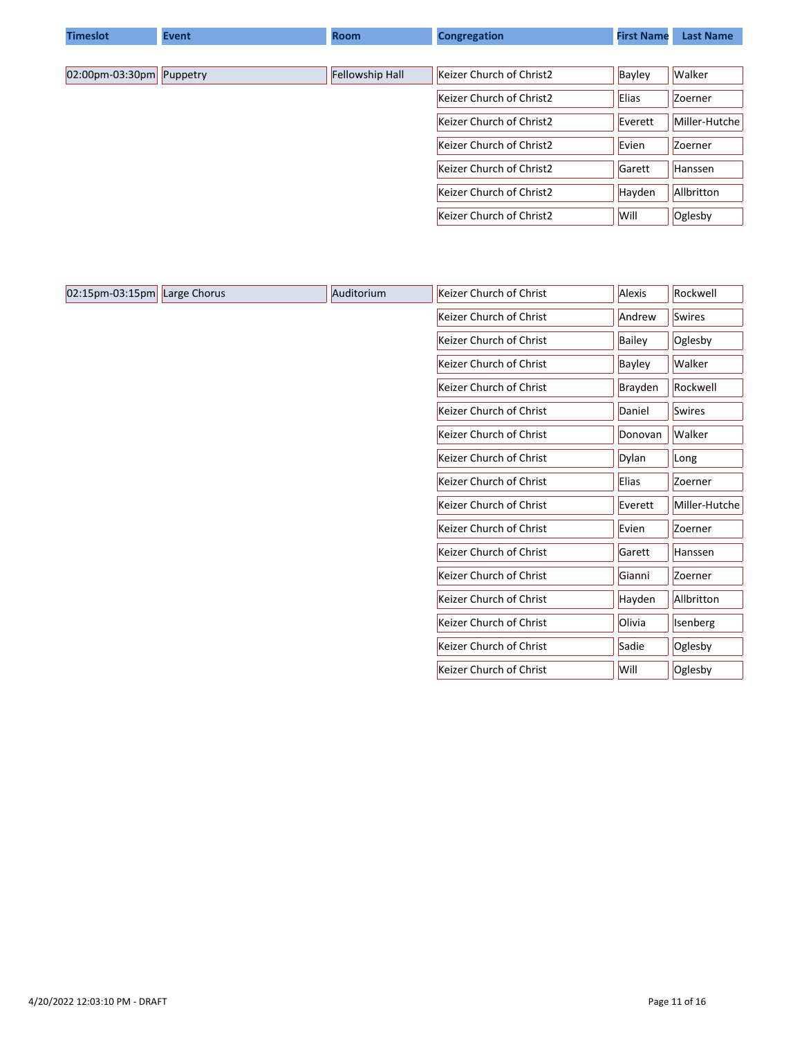| <b>Timeslot</b>              | <b>Event</b> | <b>Room</b>     | <b>Congregation</b>      | <b>First Name</b> | <b>Last Name</b> |
|------------------------------|--------------|-----------------|--------------------------|-------------------|------------------|
|                              |              |                 |                          |                   |                  |
| $ 02:00$ pm-03:30pm Puppetry |              | Fellowship Hall | Keizer Church of Christ2 | Bayley            | <b>Walker</b>    |
|                              |              |                 | Keizer Church of Christ2 | <b>Elias</b>      | Zoerner          |
|                              |              |                 | Keizer Church of Christ2 | Everett           | Miller-Hutche    |
|                              |              |                 | Keizer Church of Christ2 | Evien             | Zoerner          |
|                              |              |                 | Keizer Church of Christ2 | Garett            | Hanssen          |
|                              |              |                 | Keizer Church of Christ2 | Hayden            | Allbritton       |
|                              |              |                 | Keizer Church of Christ2 | Will              | Oglesby          |

| 02:15pm-03:15pm | Large Chorus | Auditorium | Keizer Church of Christ | Alexis  | Rockwell      |
|-----------------|--------------|------------|-------------------------|---------|---------------|
|                 |              |            | Keizer Church of Christ | Andrew  | <b>Swires</b> |
|                 |              |            | Keizer Church of Christ | Bailey  | Oglesby       |
|                 |              |            | Keizer Church of Christ | Bayley  | Walker        |
|                 |              |            | Keizer Church of Christ | Brayden | Rockwell      |
|                 |              |            | Keizer Church of Christ | Daniel  | Swires        |
|                 |              |            | Keizer Church of Christ | Donovan | Walker        |
|                 |              |            | Keizer Church of Christ | Dylan   | Long          |
|                 |              |            | Keizer Church of Christ | Elias   | Zoerner       |
|                 |              |            | Keizer Church of Christ | Everett | Miller-Hutche |
|                 |              |            | Keizer Church of Christ | Evien   | Zoerner       |
|                 |              |            | Keizer Church of Christ | Garett  | Hanssen       |
|                 |              |            | Keizer Church of Christ | Gianni  | Zoerner       |
|                 |              |            | Keizer Church of Christ | Hayden  | Allbritton    |
|                 |              |            | Keizer Church of Christ | Olivia  | Isenberg      |
|                 |              |            | Keizer Church of Christ | Sadie   | Oglesby       |
|                 |              |            | Keizer Church of Christ | Will    | Oglesby       |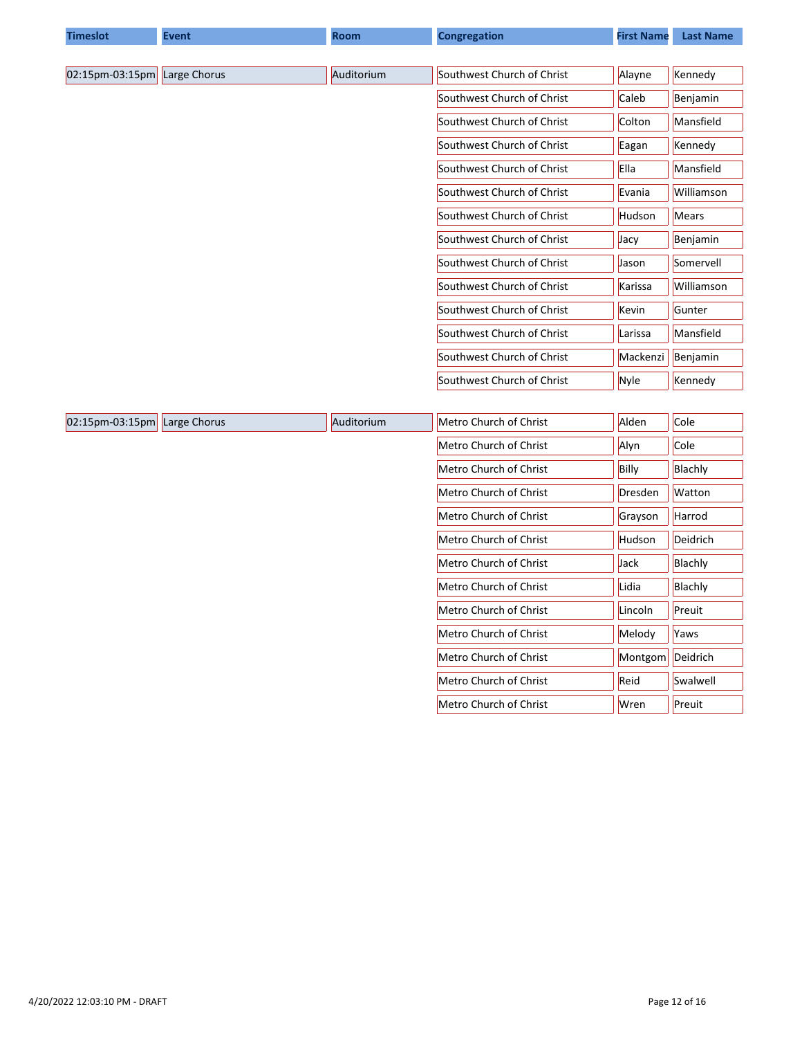| <b>Timeslot</b> | <b>Event</b> | <b>Room</b> | <b>Congregation</b>        | <b>First Name</b> | <b>Last Name</b> |
|-----------------|--------------|-------------|----------------------------|-------------------|------------------|
|                 |              |             |                            |                   |                  |
| 02:15pm-03:15pm | Large Chorus | Auditorium  | Southwest Church of Christ | Alayne            | Kennedy          |
|                 |              |             | Southwest Church of Christ | Caleb             | Benjamin         |
|                 |              |             | Southwest Church of Christ | Colton            | Mansfield        |
|                 |              |             | Southwest Church of Christ | Eagan             | Kennedy          |
|                 |              |             | Southwest Church of Christ | Ella              | Mansfield        |
|                 |              |             | Southwest Church of Christ | Evania            | Williamson       |
|                 |              |             | Southwest Church of Christ | <b>Hudson</b>     | <b>Mears</b>     |
|                 |              |             | Southwest Church of Christ | Jacy              | Benjamin         |
|                 |              |             | Southwest Church of Christ | Jason             | Somervell        |
|                 |              |             | Southwest Church of Christ | Karissa           | Williamson       |
|                 |              |             | Southwest Church of Christ | Kevin             | Gunter           |
|                 |              |             | Southwest Church of Christ | Larissa           | Mansfield        |
|                 |              |             | Southwest Church of Christ | Mackenzi          | Benjamin         |
|                 |              |             | Southwest Church of Christ | Nyle              | Kennedy          |
|                 |              |             |                            |                   |                  |
| 02:15pm-03:15pm | Large Chorus | Auditorium  | Metro Church of Christ     | Alden             | Cole             |
|                 |              |             | Metro Church of Christ     | Alyn              | Cole             |
|                 |              |             | Metro Church of Christ     | Billy             | Blachly          |
|                 |              |             | Metro Church of Christ     | Dresden           | Watton           |
|                 |              |             | Metro Church of Christ     | Grayson           | Harrod           |
|                 |              |             | Metro Church of Christ     | Hudson            | Deidrich         |
|                 |              |             | Metro Church of Christ     | Jack              | Blachly          |
|                 |              |             | Metro Church of Christ     | Lidia             | Blachly          |
|                 |              |             | Metro Church of Christ     | Lincoln           | Preuit           |
|                 |              |             | Metro Church of Christ     | Melody            | Yaws             |

Metro Church of Christ Montgom Deidrich Metro Church of Christ **Reid** Reid Swalwell Metro Church of Christ Wren Preuit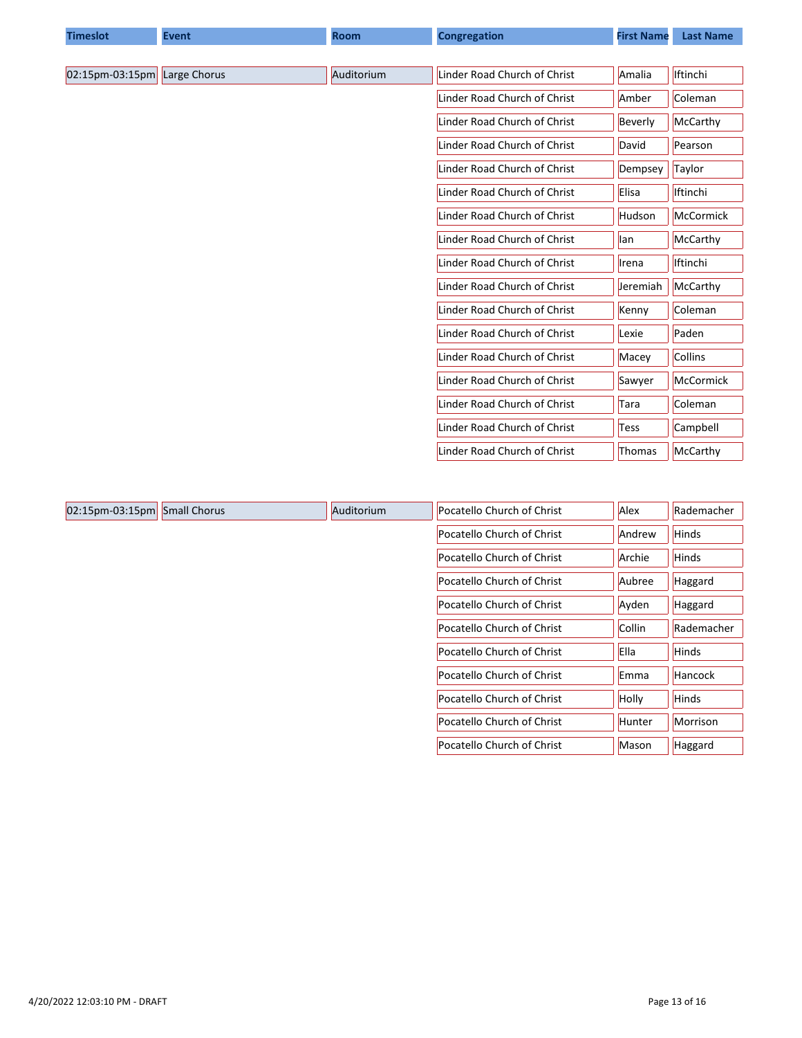| <b>Timeslot</b> | <b>Event</b> | <b>Room</b> | <b>Congregation</b>          | <b>First Name</b> | <b>Last Name</b> |
|-----------------|--------------|-------------|------------------------------|-------------------|------------------|
|                 |              |             |                              |                   |                  |
| 02:15pm-03:15pm | Large Chorus | Auditorium  | Linder Road Church of Christ | Amalia            | <b>Iftinchi</b>  |
|                 |              |             | Linder Road Church of Christ | Amber             | Coleman          |
|                 |              |             | Linder Road Church of Christ | Beverly           | McCarthy         |
|                 |              |             | Linder Road Church of Christ | David             | Pearson          |
|                 |              |             | Linder Road Church of Christ | Dempsey           | Taylor           |
|                 |              |             | Linder Road Church of Christ | Elisa             | Iftinchi         |
|                 |              |             | Linder Road Church of Christ | Hudson            | McCormick        |
|                 |              |             | Linder Road Church of Christ | llan              | McCarthy         |
|                 |              |             | Linder Road Church of Christ | Irena             | <b>Iftinchi</b>  |
|                 |              |             | Linder Road Church of Christ | Jeremiah          | McCarthy         |
|                 |              |             | Linder Road Church of Christ | Kenny             | Coleman          |
|                 |              |             | Linder Road Church of Christ | Lexie             | Paden            |
|                 |              |             | Linder Road Church of Christ | Macey             | <b>Collins</b>   |
|                 |              |             | Linder Road Church of Christ | Sawyer            | McCormick        |
|                 |              |             | Linder Road Church of Christ | Tara              | Coleman          |
|                 |              |             | Linder Road Church of Christ | <b>Tess</b>       | Campbell         |
|                 |              |             | Linder Road Church of Christ | Thomas            | McCarthy         |

| $ 02:15$ pm-03:15pm | <b>Small Chorus</b> | Auditorium | Pocatello Church of Christ | Alex          | Rademacher     |
|---------------------|---------------------|------------|----------------------------|---------------|----------------|
|                     |                     |            | Pocatello Church of Christ | Andrew        | <b>Hinds</b>   |
|                     |                     |            | Pocatello Church of Christ | Archie        | Hinds          |
|                     |                     |            | Pocatello Church of Christ | Aubree        | Haggard        |
|                     |                     |            | Pocatello Church of Christ | Ayden         | Haggard        |
|                     |                     |            | Pocatello Church of Christ | Collin        | Rademacher     |
|                     |                     |            | Pocatello Church of Christ | Ella          | <b>Hinds</b>   |
|                     |                     |            | Pocatello Church of Christ | Emma          | <b>Hancock</b> |
|                     |                     |            | Pocatello Church of Christ | Holly         | <b>Hinds</b>   |
|                     |                     |            | Pocatello Church of Christ | <b>Hunter</b> | Morrison       |
|                     |                     |            | Pocatello Church of Christ | Mason         | Haggard        |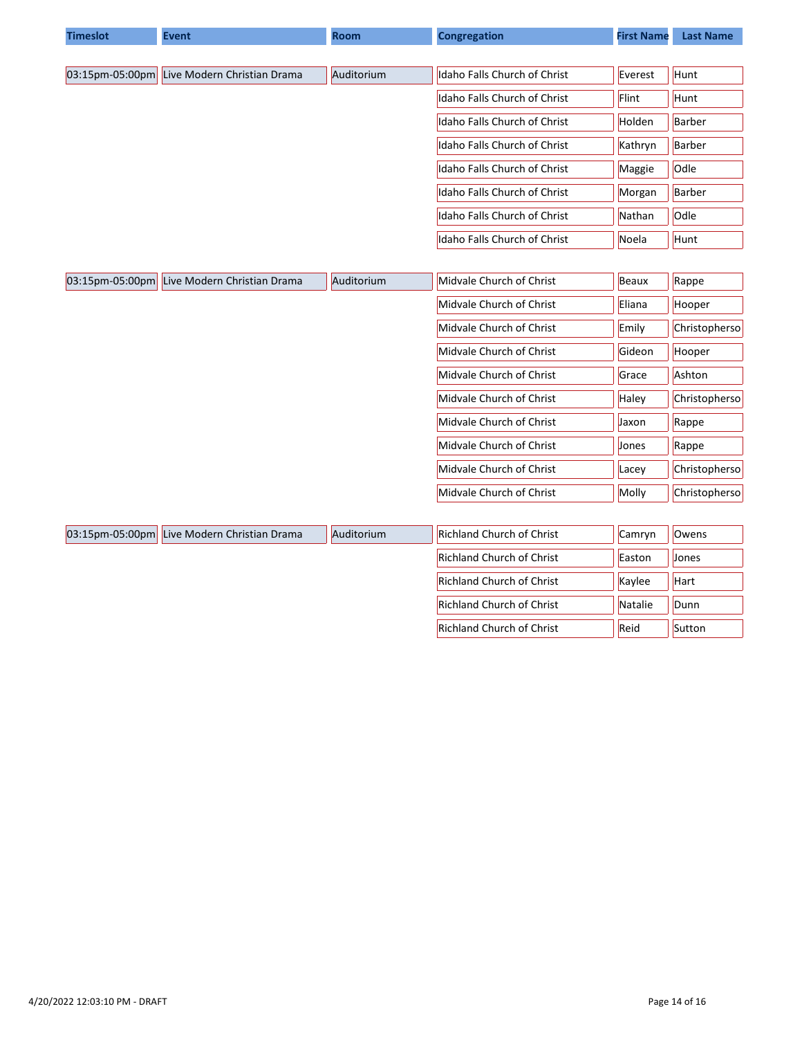| <b>Timeslot</b> | <b>Event</b>                                | <b>Room</b> | <b>Congregation</b>           | <b>First Name</b> | <b>Last Name</b> |
|-----------------|---------------------------------------------|-------------|-------------------------------|-------------------|------------------|
|                 |                                             |             |                               |                   |                  |
|                 | 03:15pm-05:00pm Live Modern Christian Drama | Auditorium  | Idaho Falls Church of Christ  | Everest           | Hunt             |
|                 |                                             |             | Idaho Falls Church of Christ  | Flint             | Hunt             |
|                 |                                             |             | Idaho Falls Church of Christ  | Holden            | Barber           |
|                 |                                             |             | Ildaho Falls Church of Christ | Kathryn           | Barber           |
|                 |                                             |             | Idaho Falls Church of Christ  | Maggie            | Odle             |
|                 |                                             |             | Idaho Falls Church of Christ  | Morgan            | Barber           |
|                 |                                             |             | Idaho Falls Church of Christ  | Nathan            | <b>Odle</b>      |
|                 |                                             |             | Idaho Falls Church of Christ  | Noela             | Hunt             |

| $ 03:15$ pm-05:00pm | Live Modern Christian Drama | Auditorium | Midvale Church of Christ | Beaux  | Rappe          |
|---------------------|-----------------------------|------------|--------------------------|--------|----------------|
|                     |                             |            | Midvale Church of Christ | Eliana | Hooper         |
|                     |                             |            | Midvale Church of Christ | Emily  | Christophersol |
|                     |                             |            | Midvale Church of Christ | Gideon | Hooper         |
|                     |                             |            | Midvale Church of Christ | Grace  | Ashton         |
|                     |                             |            | Midvale Church of Christ | Haley  | Christopherso  |
|                     |                             |            | Midvale Church of Christ | Jaxon  | Rappe          |
|                     |                             |            | Midvale Church of Christ | Jones  | Rappe          |
|                     |                             |            | Midvale Church of Christ | Lacey  | Christopherso  |
|                     |                             |            | Midvale Church of Christ | Molly  | Christopherso  |

| 03:15pm-05:00pm Live Modern Christian Dram |
|--------------------------------------------|
|                                            |

| 03:15pm-05:00pm Live Modern Christian Drama | Auditorium | <b>Richland Church of Christ</b> | Camrvn  | Owens        |
|---------------------------------------------|------------|----------------------------------|---------|--------------|
|                                             |            | <b>Richland Church of Christ</b> | Easton  | <b>Jones</b> |
|                                             |            | <b>Richland Church of Christ</b> | Kavlee  | Hart         |
|                                             |            | <b>Richland Church of Christ</b> | Natalie | Dunn         |
|                                             |            | <b>Richland Church of Christ</b> | Reid    | Sutton       |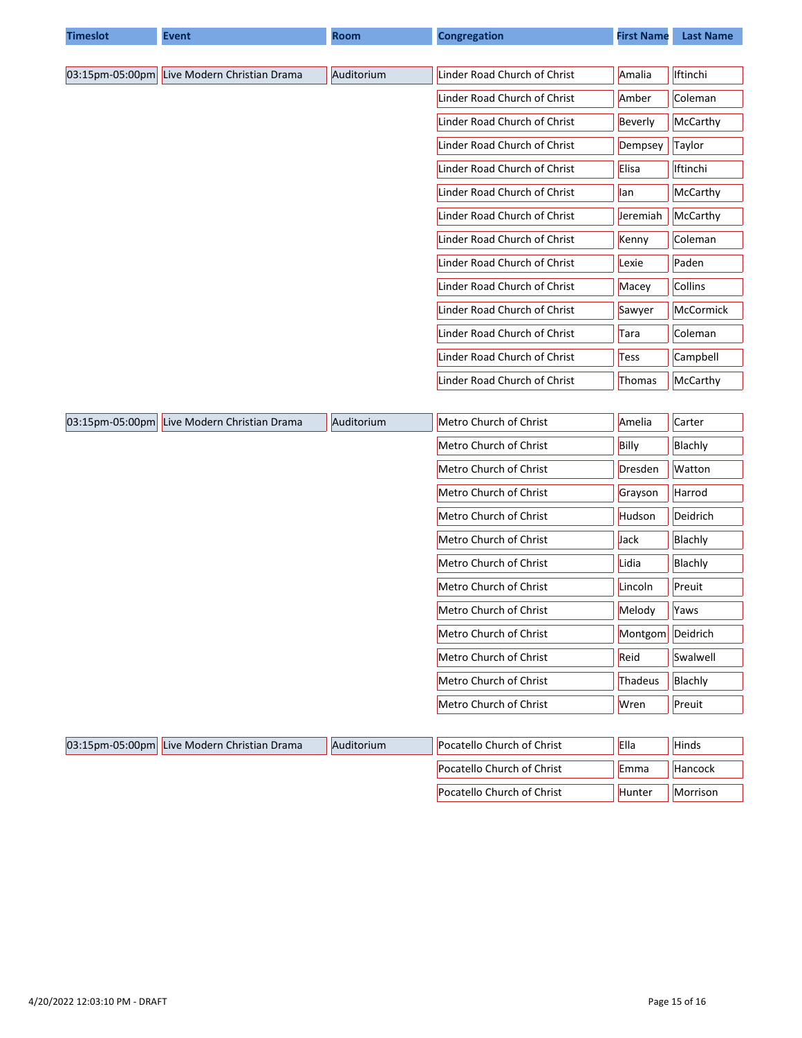| <b>Timeslot</b> | <b>Event</b>                                | <b>Room</b> | <b>Congregation</b>          | <b>First Name</b> | <b>Last Name</b> |
|-----------------|---------------------------------------------|-------------|------------------------------|-------------------|------------------|
|                 |                                             |             |                              |                   |                  |
| 03:15pm-05:00pm | Live Modern Christian Drama                 | Auditorium  | Linder Road Church of Christ | Amalia            | Iftinchi         |
|                 |                                             |             | Linder Road Church of Christ | Amber             | Coleman          |
|                 |                                             |             | Linder Road Church of Christ | Beverly           | McCarthy         |
|                 |                                             |             | Linder Road Church of Christ | Dempsey           | Taylor           |
|                 |                                             |             | Linder Road Church of Christ | Elisa             | Iftinchi         |
|                 |                                             |             | Linder Road Church of Christ | lan               | McCarthy         |
|                 |                                             |             | Linder Road Church of Christ | Jeremiah          | McCarthy         |
|                 |                                             |             | Linder Road Church of Christ | Kenny             | Coleman          |
|                 |                                             |             | Linder Road Church of Christ | Lexie             | Paden            |
|                 |                                             |             | Linder Road Church of Christ | Macey             | Collins          |
|                 |                                             |             | Linder Road Church of Christ | Sawyer            | McCormick        |
|                 |                                             |             | Linder Road Church of Christ | Tara              | Coleman          |
|                 |                                             |             | Linder Road Church of Christ | Tess              | Campbell         |
|                 |                                             |             | Linder Road Church of Christ | Thomas            | McCarthy         |
|                 |                                             |             |                              |                   |                  |
|                 | 03:15pm-05:00pm Live Modern Christian Drama | Auditorium  | Metro Church of Christ       | Amelia            | Carter           |
|                 |                                             |             | Metro Church of Christ       | Billy             | Blachly          |
|                 |                                             |             | Metro Church of Christ       | Dresden           | Watton           |
|                 |                                             |             | Metro Church of Christ       | Grayson           | Harrod           |
|                 |                                             |             | Metro Church of Christ       | Hudson            | Deidrich         |
|                 |                                             |             | Metro Church of Christ       | Jack              | Blachly          |
|                 |                                             |             | Metro Church of Christ       | Lidia             | Blachly          |
|                 |                                             |             | Metro Church of Christ       | Lincoln           | Preuit           |
|                 |                                             |             | Metro Church of Christ       | Melody            | Yaws             |
|                 |                                             |             | Metro Church of Christ       | Montgom           | Deidrich         |
|                 |                                             |             | Metro Church of Christ       | Reid              | Swalwell         |
|                 |                                             |             | Metro Church of Christ       | Thadeus           | Blachly          |
|                 |                                             |             | Metro Church of Christ       | Wren              | Preuit           |
|                 |                                             |             |                              |                   |                  |
|                 | 03:15pm-05:00pm Live Modern Christian Drama | Auditorium  | Pocatello Church of Christ   | Ella              | Hinds            |

Pocatello Church of Christ  $\left|\begin{array}{ccc} \text{Emma} & \text{Hancock} \end{array}\right|$ Pocatello Church of Christ  $||$ Hunter  $||$ Morrison